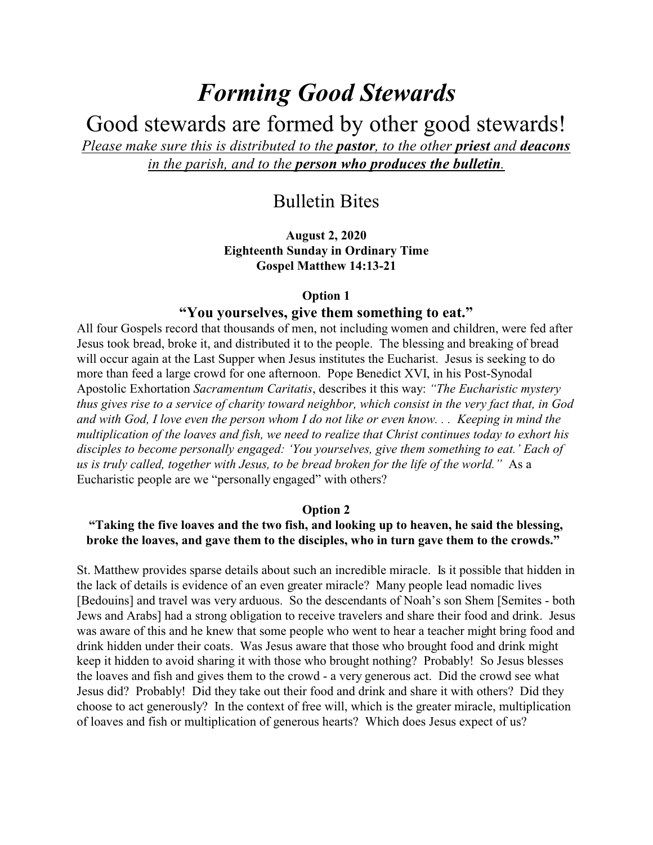# *Forming Good Stewards*

Good stewards are formed by other good stewards!

*Please make sure this is distributed to the pastor, to the other priest and deacons in the parish, and to the person who produces the bulletin.*

# Bulletin Bites

**August 2, 2020 Eighteenth Sunday in Ordinary Time Gospel Matthew 14:13-21**

## **Option 1**

# **"You yourselves, give them something to eat."**

All four Gospels record that thousands of men, not including women and children, were fed after Jesus took bread, broke it, and distributed it to the people. The blessing and breaking of bread will occur again at the Last Supper when Jesus institutes the Eucharist. Jesus is seeking to do more than feed a large crowd for one afternoon. Pope Benedict XVI, in his Post-Synodal Apostolic Exhortation *Sacramentum Caritatis*, describes it this way: *"The Eucharistic mystery thus gives rise to a service of charity toward neighbor, which consist in the very fact that, in God and with God, I love even the person whom I do not like or even know. . . Keeping in mind the multiplication of the loaves and fish, we need to realize that Christ continues today to exhort his disciples to become personally engaged: 'You yourselves, give them something to eat.' Each of us is truly called, together with Jesus, to be bread broken for the life of the world."* As a Eucharistic people are we "personally engaged" with others?

#### **Option 2**

**"Taking the five loaves and the two fish, and looking up to heaven, he said the blessing, broke the loaves, and gave them to the disciples, who in turn gave them to the crowds."** 

St. Matthew provides sparse details about such an incredible miracle. Is it possible that hidden in the lack of details is evidence of an even greater miracle? Many people lead nomadic lives [Bedouins] and travel was very arduous. So the descendants of Noah's son Shem [Semites - both Jews and Arabs] had a strong obligation to receive travelers and share their food and drink. Jesus was aware of this and he knew that some people who went to hear a teacher might bring food and drink hidden under their coats. Was Jesus aware that those who brought food and drink might keep it hidden to avoid sharing it with those who brought nothing? Probably! So Jesus blesses the loaves and fish and gives them to the crowd - a very generous act. Did the crowd see what Jesus did? Probably! Did they take out their food and drink and share it with others? Did they choose to act generously? In the context of free will, which is the greater miracle, multiplication of loaves and fish or multiplication of generous hearts? Which does Jesus expect of us?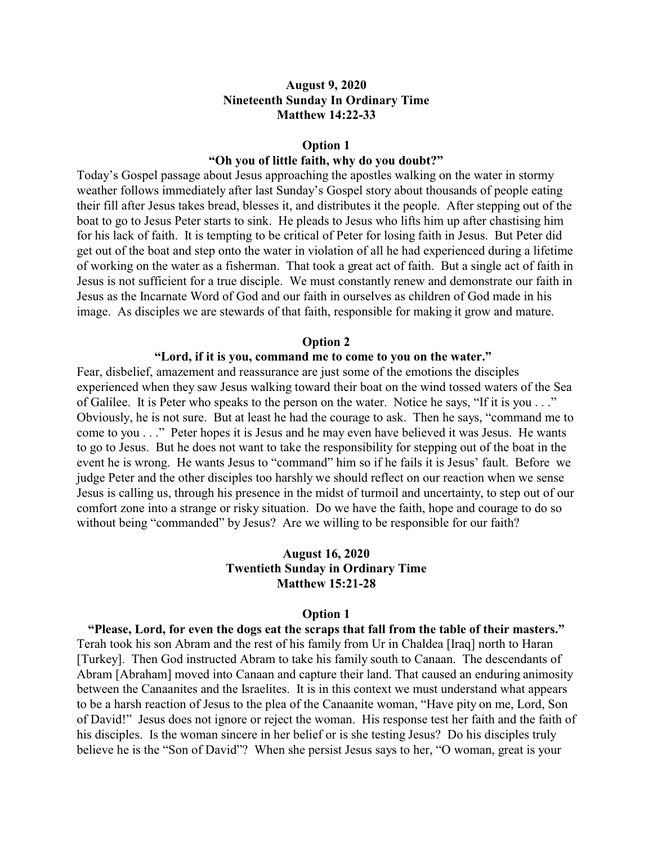# **August 9, 2020 Nineteenth Sunday In Ordinary Time Matthew 14:22-33**

#### **Option 1**

# **"Oh you of little faith, why do you doubt?"**

Today's Gospel passage about Jesus approaching the apostles walking on the water in stormy weather follows immediately after last Sunday's Gospel story about thousands of people eating their fill after Jesus takes bread, blesses it, and distributes it the people. After stepping out of the boat to go to Jesus Peter starts to sink. He pleads to Jesus who lifts him up after chastising him for his lack of faith. It is tempting to be critical of Peter for losing faith in Jesus. But Peter did get out of the boat and step onto the water in violation of all he had experienced during a lifetime of working on the water as a fisherman. That took a great act of faith. But a single act of faith in Jesus is not sufficient for a true disciple. We must constantly renew and demonstrate our faith in Jesus as the Incarnate Word of God and our faith in ourselves as children of God made in his image. As disciples we are stewards of that faith, responsible for making it grow and mature.

#### **Option 2**

#### **"Lord, if it is you, command me to come to you on the water."**

Fear, disbelief, amazement and reassurance are just some of the emotions the disciples experienced when they saw Jesus walking toward their boat on the wind tossed waters of the Sea of Galilee. It is Peter who speaks to the person on the water. Notice he says, "If it is you . . ." Obviously, he is not sure. But at least he had the courage to ask. Then he says, "command me to come to you . . ." Peter hopes it is Jesus and he may even have believed it was Jesus. He wants to go to Jesus. But he does not want to take the responsibility for stepping out of the boat in the event he is wrong. He wants Jesus to "command" him so if he fails it is Jesus' fault. Before we judge Peter and the other disciples too harshly we should reflect on our reaction when we sense Jesus is calling us, through his presence in the midst of turmoil and uncertainty, to step out of our comfort zone into a strange or risky situation. Do we have the faith, hope and courage to do so without being "commanded" by Jesus? Are we willing to be responsible for our faith?

# **August 16, 2020 Twentieth Sunday in Ordinary Time Matthew 15:21-28**

#### **Option 1**

**"Please, Lord, for even the dogs eat the scraps that fall from the table of their masters."** Terah took his son Abram and the rest of his family from Ur in Chaldea [Iraq] north to Haran [Turkey]. Then God instructed Abram to take his family south to Canaan. The descendants of Abram [Abraham] moved into Canaan and capture their land. That caused an enduring animosity between the Canaanites and the Israelites. It is in this context we must understand what appears to be a harsh reaction of Jesus to the plea of the Canaanite woman, "Have pity on me, Lord, Son of David!" Jesus does not ignore or reject the woman. His response test her faith and the faith of his disciples. Is the woman sincere in her belief or is she testing Jesus? Do his disciples truly believe he is the "Son of David"? When she persist Jesus says to her, "O woman, great is your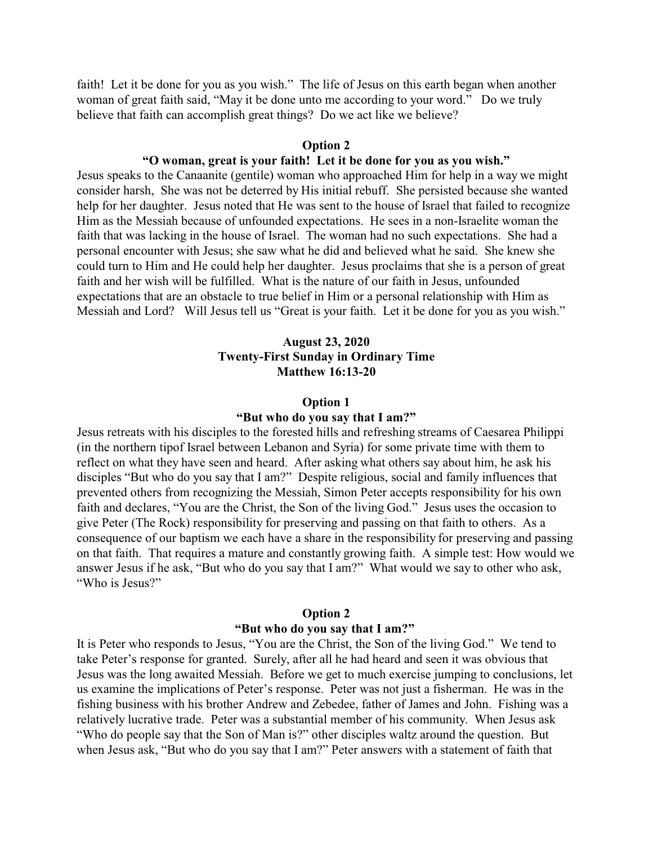faith! Let it be done for you as you wish." The life of Jesus on this earth began when another woman of great faith said, "May it be done unto me according to your word." Do we truly believe that faith can accomplish great things? Do we act like we believe?

#### **Option 2**

# **"O woman, great is your faith! Let it be done for you as you wish."**

Jesus speaks to the Canaanite (gentile) woman who approached Him for help in a way we might consider harsh, She was not be deterred by His initial rebuff. She persisted because she wanted help for her daughter. Jesus noted that He was sent to the house of Israel that failed to recognize Him as the Messiah because of unfounded expectations. He sees in a non-Israelite woman the faith that was lacking in the house of Israel. The woman had no such expectations. She had a personal encounter with Jesus; she saw what he did and believed what he said. She knew she could turn to Him and He could help her daughter. Jesus proclaims that she is a person of great faith and her wish will be fulfilled. What is the nature of our faith in Jesus, unfounded expectations that are an obstacle to true belief in Him or a personal relationship with Him as Messiah and Lord? Will Jesus tell us "Great is your faith. Let it be done for you as you wish."

# **August 23, 2020 Twenty-First Sunday in Ordinary Time Matthew 16:13-20**

#### **Option 1**

#### **"But who do you say that I am?"**

Jesus retreats with his disciples to the forested hills and refreshing streams of Caesarea Philippi (in the northern tipof Israel between Lebanon and Syria) for some private time with them to reflect on what they have seen and heard. After asking what others say about him, he ask his disciples "But who do you say that I am?" Despite religious, social and family influences that prevented others from recognizing the Messiah, Simon Peter accepts responsibility for his own faith and declares, "You are the Christ, the Son of the living God." Jesus uses the occasion to give Peter (The Rock) responsibility for preserving and passing on that faith to others. As a consequence of our baptism we each have a share in the responsibility for preserving and passing on that faith. That requires a mature and constantly growing faith. A simple test: How would we answer Jesus if he ask, "But who do you say that I am?" What would we say to other who ask, "Who is Jesus?"

#### **Option 2**

#### **"But who do you say that I am?"**

It is Peter who responds to Jesus, "You are the Christ, the Son of the living God." We tend to take Peter's response for granted. Surely, after all he had heard and seen it was obvious that Jesus was the long awaited Messiah. Before we get to much exercise jumping to conclusions, let us examine the implications of Peter's response. Peter was not just a fisherman. He was in the fishing business with his brother Andrew and Zebedee, father of James and John. Fishing was a relatively lucrative trade. Peter was a substantial member of his community. When Jesus ask "Who do people say that the Son of Man is?" other disciples waltz around the question. But when Jesus ask, "But who do you say that I am?" Peter answers with a statement of faith that